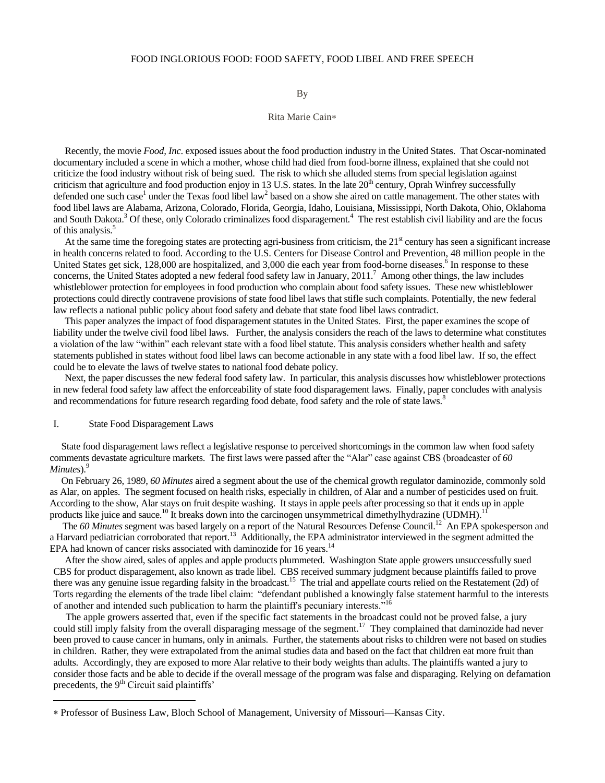### FOOD INGLORIOUS FOOD: FOOD SAFETY, FOOD LIBEL AND FREE SPEECH

By

### Rita Marie Cain

 Recently, the movie *Food, Inc*. exposed issues about the food production industry in the United States. That Oscar-nominated documentary included a scene in which a mother, whose child had died from food-borne illness, explained that she could not criticize the food industry without risk of being sued. The risk to which she alluded stems from special legislation against criticism that agriculture and food production enjoy in 13 U.S. states. In the late  $20<sup>th</sup>$  century, Oprah Winfrey successfully defended one such case<sup>1</sup> under the Texas food libel law<sup>2</sup> based on a show she aired on cattle management. The other states with food libel laws are Alabama, Arizona, Colorado, Florida, Georgia, Idaho, Louisiana, Mississippi, North Dakota, Ohio, Oklahoma and South Dakota.<sup>3</sup> Of these, only Colorado criminalizes food disparagement.<sup>4</sup> The rest establish civil liability and are the focus of this analysis.<sup>5</sup>

At the same time the foregoing states are protecting agri-business from criticism, the  $21<sup>st</sup>$  century has seen a significant increase in health concerns related to food. According to the U.S. Centers for Disease Control and Prevention, 48 million people in the United States get sick, 128,000 are hospitalized, and 3,000 die each year from food-borne diseases.<sup>6</sup> In response to these concerns, the United States adopted a new federal food safety law in January, 2011.<sup>7</sup> Among other things, the law includes whistleblower protection for employees in food production who complain about food safety issues. These new whistleblower protections could directly contravene provisions of state food libel laws that stifle such complaints. Potentially, the new federal law reflects a national public policy about food safety and debate that state food libel laws contradict.

 This paper analyzes the impact of food disparagement statutes in the United States. First, the paper examines the scope of liability under the twelve civil food libel laws. Further, the analysis considers the reach of the laws to determine what constitutes a violation of the law "within" each relevant state with a food libel statute. This analysis considers whether health and safety statements published in states without food libel laws can become actionable in any state with a food libel law. If so, the effect could be to elevate the laws of twelve states to national food debate policy.

 Next, the paper discusses the new federal food safety law. In particular, this analysis discusses how whistleblower protections in new federal food safety law affect the enforceability of state food disparagement laws. Finally, paper concludes with analysis and recommendations for future research regarding food debate, food safety and the role of state laws.<sup>8</sup>

# I. State Food Disparagement Laws

 $\overline{\phantom{a}}$ 

 State food disparagement laws reflect a legislative response to perceived shortcomings in the common law when food safety comments devastate agriculture markets. The first laws were passed after the "Alar" case against CBS (broadcaster of 60 *Minutes*).<sup>9</sup>

 On February 26, 1989, *60 Minutes* aired a segment about the use of the chemical growth regulator daminozide, commonly sold as Alar, on apples. The segment focused on health risks, especially in children, of Alar and a number of pesticides used on fruit. According to the show, Alar stays on fruit despite washing. It stays in apple peels after processing so that it ends up in apple products like juice and sauce.<sup>10</sup> It breaks down into the carcinogen unsymmetrical dimethylhydrazine (UDMH).<sup>11</sup>

The 60 Minutes segment was based largely on a report of the Natural Resources Defense Council.<sup>12</sup> An EPA spokesperson and a Harvard pediatrician corroborated that report.<sup>13</sup> Additionally, the EPA administrator interviewed in the segment admitted the EPA had known of cancer risks associated with daminozide for 16 years.<sup>14</sup>

 After the show aired, sales of apples and apple products plummeted. Washington State apple growers unsuccessfully sued CBS for product disparagement, also known as trade libel. CBS received summary judgment because plaintiffs failed to prove there was any genuine issue regarding falsity in the broadcast.<sup>15</sup> The trial and appellate courts relied on the Restatement (2d) of Torts regarding the elements of the trade libel claim: "defendant published a knowingly false statement harmful to the interests of another and intended such publication to harm the plaintiff's pecuniary interests.

 The apple growers asserted that, even if the specific fact statements in the broadcast could not be proved false, a jury could still imply falsity from the overall disparaging message of the segment.<sup>17</sup> They complained that daminozide had never been proved to cause cancer in humans, only in animals. Further, the statements about risks to children were not based on studies in children. Rather, they were extrapolated from the animal studies data and based on the fact that children eat more fruit than adults. Accordingly, they are exposed to more Alar relative to their body weights than adults. The plaintiffs wanted a jury to consider those facts and be able to decide if the overall message of the program was false and disparaging. Relying on defamation precedents, the 9<sup>th</sup> Circuit said plaintiffs'

Professor of Business Law, Bloch School of Management, University of Missouri—Kansas City.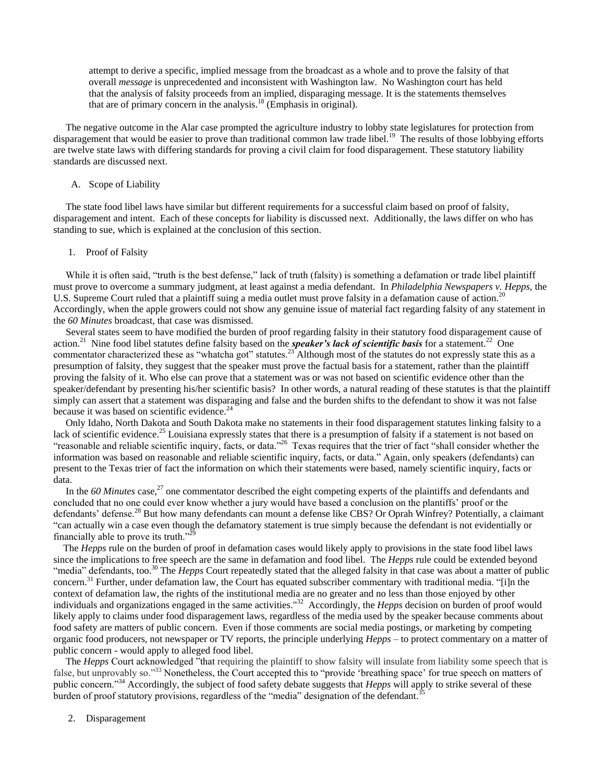attempt to derive a specific, implied message from the broadcast as a whole and to prove the falsity of that overall *message* is unprecedented and inconsistent with Washington law. No Washington court has held that the analysis of falsity proceeds from an implied, disparaging message. It is the statements themselves that are of primary concern in the analysis.<sup>18</sup> (Emphasis in original).

 The negative outcome in the Alar case prompted the agriculture industry to lobby state legislatures for protection from disparagement that would be easier to prove than traditional common law trade libel.<sup>19</sup> The results of those lobbying efforts are twelve state laws with differing standards for proving a civil claim for food disparagement. These statutory liability standards are discussed next.

## A. Scope of Liability

 The state food libel laws have similar but different requirements for a successful claim based on proof of falsity, disparagement and intent. Each of these concepts for liability is discussed next. Additionally, the laws differ on who has standing to sue, which is explained at the conclusion of this section.

### 1. Proof of Falsity

While it is often said, "truth is the best defense," lack of truth (falsity) is something a defamation or trade libel plaintiff must prove to overcome a summary judgment, at least against a media defendant. In *Philadelphia Newspapers v. Hepps*, the U.S. Supreme Court ruled that a plaintiff suing a media outlet must prove falsity in a defamation cause of action.<sup>20</sup> Accordingly, when the apple growers could not show any genuine issue of material fact regarding falsity of any statement in the *60 Minutes* broadcast, that case was dismissed.

 Several states seem to have modified the burden of proof regarding falsity in their statutory food disparagement cause of action.<sup>21</sup> Nine food libel statutes define falsity based on the *speaker's lack of scientific basis* for a statement.<sup>22</sup> One commentator characterized these as "whatcha got" statutes.<sup>23</sup> Although most of the statutes do not expressly state this as a presumption of falsity, they suggest that the speaker must prove the factual basis for a statement, rather than the plaintiff proving the falsity of it. Who else can prove that a statement was or was not based on scientific evidence other than the speaker/defendant by presenting his/her scientific basis? In other words, a natural reading of these statutes is that the plaintiff simply can assert that a statement was disparaging and false and the burden shifts to the defendant to show it was not false because it was based on scientific evidence.<sup>24</sup>

 Only Idaho, North Dakota and South Dakota make no statements in their food disparagement statutes linking falsity to a lack of scientific evidence.<sup>25</sup> Louisiana expressly states that there is a presumption of falsity if a statement is not based on "reasonable and reliable scientific inquiry, facts, or data."<sup>26</sup> Texas requires that the trier of fact "shall consider whether the information was based on reasonable and reliable scientific inquiry, facts, or data." Again, only speakers (defendants) can present to the Texas trier of fact the information on which their statements were based, namely scientific inquiry, facts or data.

In the 60 Minutes case,<sup>27</sup> one commentator described the eight competing experts of the plaintiffs and defendants and concluded that no one could ever know whether a jury would have based a conclusion on the plantiffs' proof or the defendants' defense.<sup>28</sup> But how many defendants can mount a defense like CBS? Or Oprah Winfrey? Potentially, a claimant ―can actually win a case even though the defamatory statement is true simply because the defendant is not evidentially or financially able to prove its truth. $129$ 

 The *Hepps* rule on the burden of proof in defamation cases would likely apply to provisions in the state food libel laws since the implications to free speech are the same in defamation and food libel. The *Hepps* rule could be extended beyond "media" defendants, too.<sup>30</sup> The *Hepps* Court repeatedly stated that the alleged falsity in that case was about a matter of public concern.<sup>31</sup> Further, under defamation law, the Court has equated subscriber commentary with traditional media. "[i]n the context of defamation law, the rights of the institutional media are no greater and no less than those enjoyed by other individuals and organizations engaged in the same activities."<sup>32</sup> Accordingly, the *Hepps* decision on burden of proof would likely apply to claims under food disparagement laws, regardless of the media used by the speaker because comments about food safety are matters of public concern. Even if those comments are social media postings, or marketing by competing organic food producers, not newspaper or TV reports, the principle underlying *Hepps* – to protect commentary on a matter of public concern - would apply to alleged food libel.

The *Hepps* Court acknowledged "that requiring the plaintiff to show falsity will insulate from liability some speech that is false, but unprovably so."<sup>33</sup> Nonetheless, the Court accepted this to "provide 'breathing space' for true speech on matters of public concern."<sup>34</sup> Accordingly, the subject of food safety debate suggests that *Hepps* will apply to strike several of these burden of proof statutory provisions, regardless of the "media" designation of the defendant.<sup>3</sup>

2. Disparagement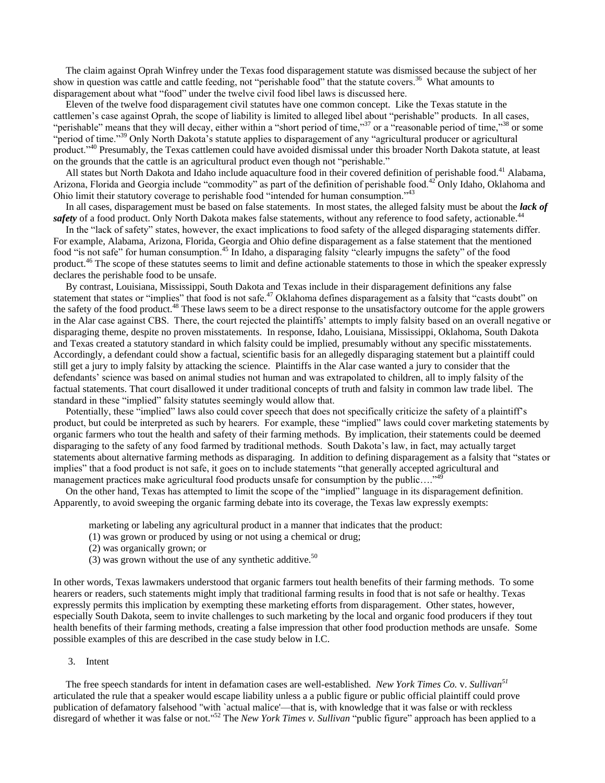The claim against Oprah Winfrey under the Texas food disparagement statute was dismissed because the subject of her show in question was cattle and cattle feeding, not "perishable food" that the statute covers.<sup>36</sup> What amounts to disparagement about what "food" under the twelve civil food libel laws is discussed here.

 Eleven of the twelve food disparagement civil statutes have one common concept. Like the Texas statute in the cattlemen's case against Oprah, the scope of liability is limited to alleged libel about "perishable" products. In all cases, "perishable" means that they will decay, either within a "short period of time,"<sup>37</sup> or a "reasonable period of time,"<sup>38</sup> or some "period of time."<sup>39</sup> Only North Dakota's statute applies to disparagement of any "agricultural producer or agricultural product.<sup>240</sup> Presumably, the Texas cattlemen could have avoided dismissal under this broader North Dakota statute, at least on the grounds that the cattle is an agricultural product even though not "perishable."

All states but North Dakota and Idaho include aquaculture food in their covered definition of perishable food.<sup>41</sup> Alabama, Arizona, Florida and Georgia include "commodity" as part of the definition of perishable food.<sup>42</sup> Only Idaho, Oklahoma and Ohio limit their statutory coverage to perishable food "intended for human consumption."<sup>43</sup>

 In all cases, disparagement must be based on false statements. In most states, the alleged falsity must be about the *lack of*  safety of a food product. Only North Dakota makes false statements, without any reference to food safety, actionable.<sup>44</sup>

In the "lack of safety" states, however, the exact implications to food safety of the alleged disparaging statements differ. For example, Alabama, Arizona, Florida, Georgia and Ohio define disparagement as a false statement that the mentioned food "is not safe" for human consumption.<sup>45</sup> In Idaho, a disparaging falsity "clearly impugns the safety" of the food product.<sup>46</sup> The scope of these statutes seems to limit and define actionable statements to those in which the speaker expressly declares the perishable food to be unsafe.

 By contrast, Louisiana, Mississippi, South Dakota and Texas include in their disparagement definitions any false statement that states or "implies" that food is not safe.<sup>47</sup> Oklahoma defines disparagement as a falsity that "casts doubt" on the safety of the food product.<sup>48</sup> These laws seem to be a direct response to the unsatisfactory outcome for the apple growers in the Alar case against CBS. There, the court rejected the plaintiffs' attempts to imply falsity based on an overall negative or disparaging theme, despite no proven misstatements. In response, Idaho, Louisiana, Mississippi, Oklahoma, South Dakota and Texas created a statutory standard in which falsity could be implied, presumably without any specific misstatements. Accordingly, a defendant could show a factual, scientific basis for an allegedly disparaging statement but a plaintiff could still get a jury to imply falsity by attacking the science. Plaintiffs in the Alar case wanted a jury to consider that the defendants' science was based on animal studies not human and was extrapolated to children, all to imply falsity of the factual statements. That court disallowed it under traditional concepts of truth and falsity in common law trade libel. The standard in these "implied" falsity statutes seemingly would allow that.

Potentially, these "implied" laws also could cover speech that does not specifically criticize the safety of a plaintiff's product, but could be interpreted as such by hearers. For example, these "implied" laws could cover marketing statements by organic farmers who tout the health and safety of their farming methods. By implication, their statements could be deemed disparaging to the safety of any food farmed by traditional methods. South Dakota's law, in fact, may actually target statements about alternative farming methods as disparaging. In addition to defining disparagement as a falsity that "states or implies" that a food product is not safe, it goes on to include statements "that generally accepted agricultural and management practices make agricultural food products unsafe for consumption by the public…."<sup>49</sup>

On the other hand, Texas has attempted to limit the scope of the "implied" language in its disparagement definition. Apparently, to avoid sweeping the organic farming debate into its coverage, the Texas law expressly exempts:

marketing or labeling any agricultural product in a manner that indicates that the product:

- (1) was grown or produced by using or not using a chemical or drug;
- (2) was organically grown; or
- (3) was grown without the use of any synthetic additive.<sup>50</sup>

In other words, Texas lawmakers understood that organic farmers tout health benefits of their farming methods. To some hearers or readers, such statements might imply that traditional farming results in food that is not safe or healthy. Texas expressly permits this implication by exempting these marketing efforts from disparagement. Other states, however, especially South Dakota, seem to invite challenges to such marketing by the local and organic food producers if they tout health benefits of their farming methods, creating a false impression that other food production methods are unsafe. Some possible examples of this are described in the case study below in I.C.

## 3. Intent

 The free speech standards for intent in defamation cases are well-established. *New York Times Co.* v. *Sullivan<sup>51</sup>* articulated the rule that a speaker would escape liability unless a a public figure or public official plaintiff could prove publication of defamatory falsehood "with `actual malice'—that is, with knowledge that it was false or with reckless disregard of whether it was false or not."<sup>52</sup> The *New York Times v. Sullivan* "public figure" approach has been applied to a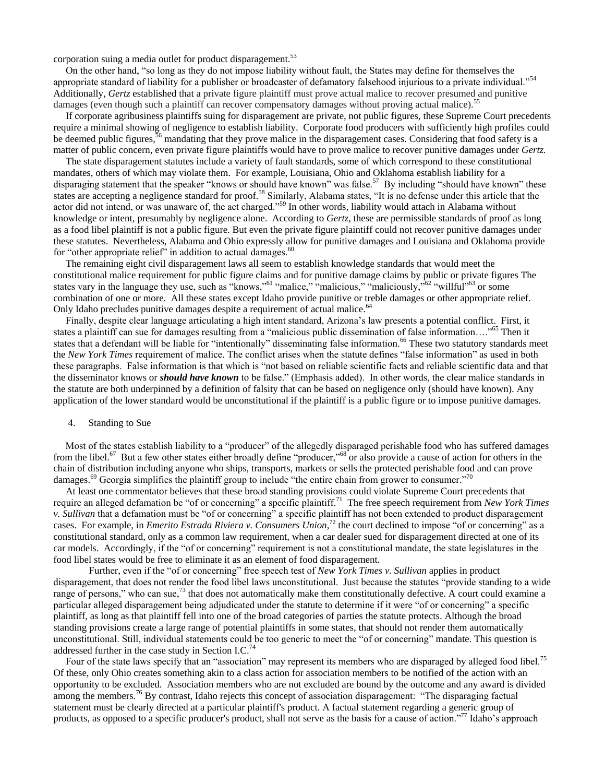corporation suing a media outlet for product disparagement.<sup>53</sup>

On the other hand, "so long as they do not impose liability without fault, the States may define for themselves the appropriate standard of liability for a publisher or broadcaster of defamatory falsehood injurious to a private individual."<sup>54</sup> Additionally, *Gertz* established that a private figure plaintiff must prove actual malice to recover presumed and punitive damages (even though such a plaintiff can recover compensatory damages without proving actual malice).<sup>55</sup>

 If corporate agribusiness plaintiffs suing for disparagement are private, not public figures, these Supreme Court precedents require a minimal showing of negligence to establish liability. Corporate food producers with sufficiently high profiles could be deemed public figures,<sup>56</sup> mandating that they prove malice in the disparagement cases. Considering that food safety is a matter of public concern, even private figure plaintiffs would have to prove malice to recover punitive damages under *Gertz.*

 The state disparagement statutes include a variety of fault standards, some of which correspond to these constitutional mandates, others of which may violate them. For example, Louisiana, Ohio and Oklahoma establish liability for a disparaging statement that the speaker "knows or should have known" was false.<sup>57</sup> By including "should have known" these states are accepting a negligence standard for proof.<sup>58</sup> Similarly, Alabama states, "It is no defense under this article that the actor did not intend, or was unaware of, the act charged."<sup>59</sup> In other words, liability would attach in Alabama without knowledge or intent, presumably by negligence alone. According to *Gertz*, these are permissible standards of proof as long as a food libel plaintiff is not a public figure. But even the private figure plaintiff could not recover punitive damages under these statutes. Nevertheless, Alabama and Ohio expressly allow for punitive damages and Louisiana and Oklahoma provide for "other appropriate relief" in addition to actual damages. $60$ 

 The remaining eight civil disparagement laws all seem to establish knowledge standards that would meet the constitutional malice requirement for public figure claims and for punitive damage claims by public or private figures The states vary in the language they use, such as "knows,"<sup>61</sup> "malice," "malicious," "maliciously,"<sup>62</sup> "willful"<sup>63</sup> or some combination of one or more. All these states except Idaho provide punitive or treble damages or other appropriate relief. Only Idaho precludes punitive damages despite a requirement of actual malice.<sup>64</sup>

 Finally, despite clear language articulating a high intent standard, Arizona's law presents a potential conflict. First, it states a plaintiff can sue for damages resulting from a "malicious public dissemination of false information…."<sup>65</sup> Then it states that a defendant will be liable for "intentionally" disseminating false information.<sup>66</sup> These two statutory standards meet the *New York Times* requirement of malice. The conflict arises when the statute defines "false information" as used in both these paragraphs. False information is that which is "not based on reliable scientific facts and reliable scientific data and that the disseminator knows or *should have known* to be false." (Emphasis added). In other words, the clear malice standards in the statute are both underpinned by a definition of falsity that can be based on negligence only (should have known). Any application of the lower standard would be unconstitutional if the plaintiff is a public figure or to impose punitive damages.

# 4. Standing to Sue

Most of the states establish liability to a "producer" of the allegedly disparaged perishable food who has suffered damages from the libel.<sup>67</sup> But a few other states either broadly define "producer,"<sup>68</sup> or also provide a cause of action for others in the chain of distribution including anyone who ships, transports, markets or sells the protected perishable food and can prove damages.<sup>69</sup> Georgia simplifies the plaintiff group to include "the entire chain from grower to consumer.<sup>70</sup>

 At least one commentator believes that these broad standing provisions could violate Supreme Court precedents that require an alleged defamation be "of or concerning" a specific plaintiff.<sup>71</sup> The free speech requirement from *New York Times v*. Sullivan that a defamation must be "of or concerning" a specific plaintiff has not been extended to product disparagement cases. For example, in *Emerito Estrada Riviera v. Consumers Union*,<sup>72</sup> the court declined to impose "of or concerning" as a constitutional standard, only as a common law requirement, when a car dealer sued for disparagement directed at one of its car models. Accordingly, if the "of or concerning" requirement is not a constitutional mandate, the state legislatures in the food libel states would be free to eliminate it as an element of food disparagement.

Further, even if the "of or concerning" free speech test of *New York Times v. Sullivan* applies in product disparagement, that does not render the food libel laws unconstitutional. Just because the statutes "provide standing to a wide range of persons," who can sue,<sup>73</sup> that does not automatically make them constitutionally defective. A court could examine a particular alleged disparagement being adjudicated under the statute to determine if it were "of or concerning" a specific plaintiff, as long as that plaintiff fell into one of the broad categories of parties the statute protects. Although the broad standing provisions create a large range of potential plaintiffs in some states, that should not render them automatically unconstitutional. Still, individual statements could be too generic to meet the "of or concerning" mandate. This question is addressed further in the case study in Section I.C.<sup>74</sup>

Four of the state laws specify that an "association" may represent its members who are disparaged by alleged food libel.<sup>75</sup> Of these, only Ohio creates something akin to a class action for association members to be notified of the action with an opportunity to be excluded. Association members who are not excluded are bound by the outcome and any award is divided among the members.<sup>76</sup> By contrast, Idaho rejects this concept of association disparagement: "The disparaging factual statement must be clearly directed at a particular plaintiff's product. A factual statement regarding a generic group of products, as opposed to a specific producer's product, shall not serve as the basis for a cause of action."<sup>77</sup> Idaho's approach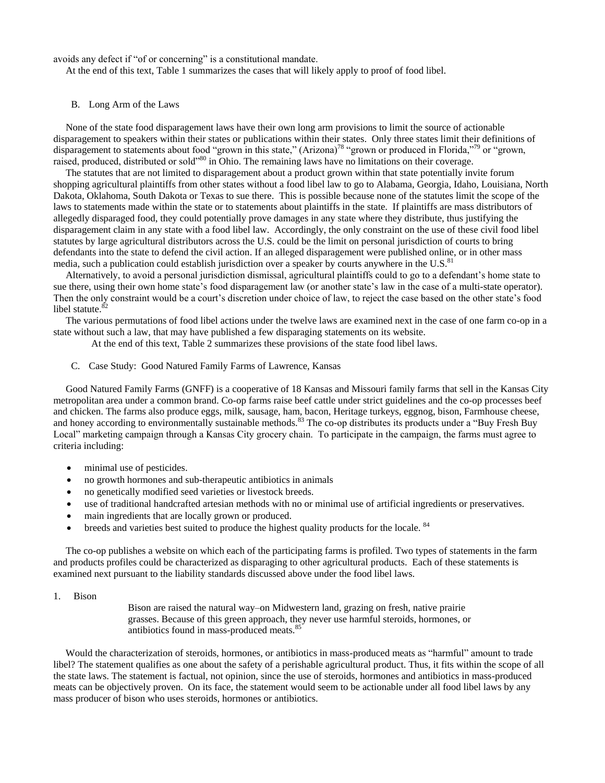avoids any defect if "of or concerning" is a constitutional mandate.

At the end of this text, Table 1 summarizes the cases that will likely apply to proof of food libel.

# B. Long Arm of the Laws

 None of the state food disparagement laws have their own long arm provisions to limit the source of actionable disparagement to speakers within their states or publications within their states. Only three states limit their definitions of disparagement to statements about food "grown in this state," (Arizona)<sup>78</sup> "grown or produced in Florida,"<sup>79</sup> or "grown, raised, produced, distributed or sold<sup>380</sup> in Ohio. The remaining laws have no limitations on their coverage.

 The statutes that are not limited to disparagement about a product grown within that state potentially invite forum shopping agricultural plaintiffs from other states without a food libel law to go to Alabama, Georgia, Idaho, Louisiana, North Dakota, Oklahoma, South Dakota or Texas to sue there. This is possible because none of the statutes limit the scope of the laws to statements made within the state or to statements about plaintiffs in the state. If plaintiffs are mass distributors of allegedly disparaged food, they could potentially prove damages in any state where they distribute, thus justifying the disparagement claim in any state with a food libel law. Accordingly, the only constraint on the use of these civil food libel statutes by large agricultural distributors across the U.S. could be the limit on personal jurisdiction of courts to bring defendants into the state to defend the civil action. If an alleged disparagement were published online, or in other mass media, such a publication could establish jurisdiction over a speaker by courts anywhere in the U.S. $81$ 

 Alternatively, to avoid a personal jurisdiction dismissal, agricultural plaintiffs could to go to a defendant's home state to sue there, using their own home state's food disparagement law (or another state's law in the case of a multi-state operator). Then the only constraint would be a court's discretion under choice of law, to reject the case based on the other state's food libel statute. $82$ 

 The various permutations of food libel actions under the twelve laws are examined next in the case of one farm co-op in a state without such a law, that may have published a few disparaging statements on its website.

At the end of this text, Table 2 summarizes these provisions of the state food libel laws.

C. Case Study: Good Natured Family Farms of Lawrence, Kansas

 Good Natured Family Farms (GNFF) is a cooperative of 18 Kansas and Missouri family farms that sell in the Kansas City metropolitan area under a common brand. Co-op farms raise beef cattle under strict guidelines and the co-op processes beef and chicken. The farms also produce eggs, milk, sausage, ham, bacon, Heritage turkeys, eggnog, bison, Farmhouse cheese, and honey according to environmentally sustainable methods.<sup>83</sup> The co-op distributes its products under a "Buy Fresh Buy" Local" marketing campaign through a Kansas City grocery chain. To participate in the campaign, the farms must agree to criteria including:

- minimal use of pesticides.
- no growth hormones and sub-therapeutic antibiotics in animals
- no genetically modified seed varieties or livestock breeds.
- use of traditional handcrafted artesian methods with no or minimal use of artificial ingredients or preservatives.
- main ingredients that are locally grown or produced.
- $\bullet$  breeds and varieties best suited to produce the highest quality products for the locale.  $84$

 The co-op publishes a website on which each of the participating farms is profiled. Two types of statements in the farm and products profiles could be characterized as disparaging to other agricultural products. Each of these statements is examined next pursuant to the liability standards discussed above under the food libel laws.

1. Bison

Bison are raised the natural way–on Midwestern land, grazing on fresh, native prairie grasses. Because of this green approach, they never use harmful steroids, hormones, or antibiotics found in mass-produced meats.<sup>85</sup>

Would the characterization of steroids, hormones, or antibiotics in mass-produced meats as "harmful" amount to trade libel? The statement qualifies as one about the safety of a perishable agricultural product. Thus, it fits within the scope of all the state laws. The statement is factual, not opinion, since the use of steroids, hormones and antibiotics in mass-produced meats can be objectively proven. On its face, the statement would seem to be actionable under all food libel laws by any mass producer of bison who uses steroids, hormones or antibiotics.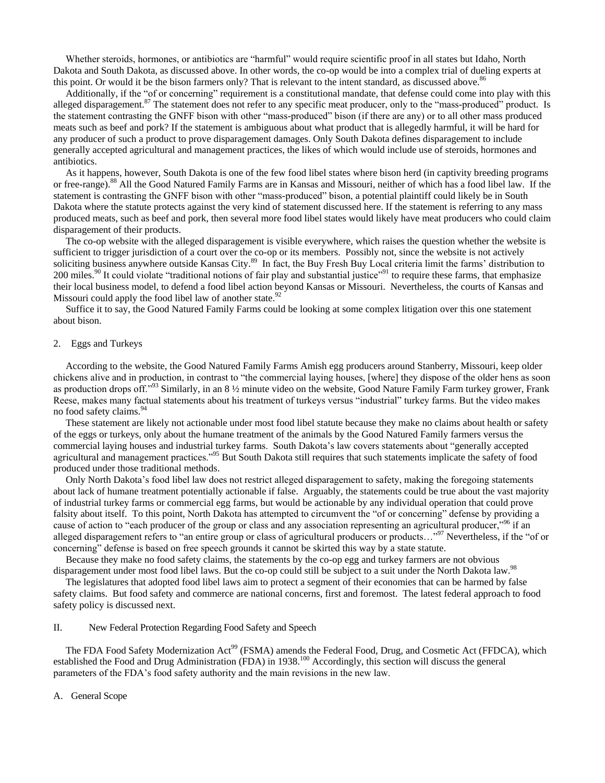Whether steroids, hormones, or antibiotics are "harmful" would require scientific proof in all states but Idaho, North Dakota and South Dakota, as discussed above. In other words, the co-op would be into a complex trial of dueling experts at this point. Or would it be the bison farmers only? That is relevant to the intent standard, as discussed above.<sup>86</sup>

Additionally, if the "of or concerning" requirement is a constitutional mandate, that defense could come into play with this alleged disparagement.<sup>87</sup> The statement does not refer to any specific meat producer, only to the "mass-produced" product. Is the statement contrasting the GNFF bison with other "mass-produced" bison (if there are any) or to all other mass produced meats such as beef and pork? If the statement is ambiguous about what product that is allegedly harmful, it will be hard for any producer of such a product to prove disparagement damages. Only South Dakota defines disparagement to include generally accepted agricultural and management practices, the likes of which would include use of steroids, hormones and antibiotics.

 As it happens, however, South Dakota is one of the few food libel states where bison herd (in captivity breeding programs or free-range).<sup>88</sup> All the Good Natured Family Farms are in Kansas and Missouri, neither of which has a food libel law. If the statement is contrasting the GNFF bison with other "mass-produced" bison, a potential plaintiff could likely be in South Dakota where the statute protects against the very kind of statement discussed here. If the statement is referring to any mass produced meats, such as beef and pork, then several more food libel states would likely have meat producers who could claim disparagement of their products.

 The co-op website with the alleged disparagement is visible everywhere, which raises the question whether the website is sufficient to trigger jurisdiction of a court over the co-op or its members. Possibly not, since the website is not actively soliciting business anywhere outside Kansas City.<sup>89</sup> In fact, the Buy Fresh Buy Local criteria limit the farms' distribution to 200 miles.<sup>90</sup> It could violate "traditional notions of fair play and substantial justice"<sup>91</sup> to require these farms, that emphasize their local business model, to defend a food libel action beyond Kansas or Missouri. Nevertheless, the courts of Kansas and Missouri could apply the food libel law of another state.<sup>92</sup>

 Suffice it to say, the Good Natured Family Farms could be looking at some complex litigation over this one statement about bison.

#### 2. Eggs and Turkeys

 According to the website, the Good Natured Family Farms Amish egg producers around Stanberry, Missouri, keep older chickens alive and in production, in contrast to "the commercial laying houses, [where] they dispose of the older hens as soon as production drops off.<sup>993</sup> Similarly, in an  $8\frac{1}{2}$  minute video on the website, Good Nature Family Farm turkey grower, Frank Reese, makes many factual statements about his treatment of turkeys versus "industrial" turkey farms. But the video makes no food safety claims.<sup>94</sup>

 These statement are likely not actionable under most food libel statute because they make no claims about health or safety of the eggs or turkeys, only about the humane treatment of the animals by the Good Natured Family farmers versus the commercial laying houses and industrial turkey farms. South Dakota's law covers statements about "generally accepted agricultural and management practices.<sup>195</sup> But South Dakota still requires that such statements implicate the safety of food produced under those traditional methods.

 Only North Dakota's food libel law does not restrict alleged disparagement to safety, making the foregoing statements about lack of humane treatment potentially actionable if false. Arguably, the statements could be true about the vast majority of industrial turkey farms or commercial egg farms, but would be actionable by any individual operation that could prove falsity about itself. To this point, North Dakota has attempted to circumvent the "of or concerning" defense by providing a cause of action to "each producer of the group or class and any association representing an agricultural producer,"<sup>96</sup> if an alleged disparagement refers to "an entire group or class of agricultural producers or products..."<sup>97</sup> Nevertheless, if the "of or concerning" defense is based on free speech grounds it cannot be skirted this way by a state statute.

 Because they make no food safety claims, the statements by the co-op egg and turkey farmers are not obvious disparagement under most food libel laws. But the co-op could still be subject to a suit under the North Dakota law.<sup>98</sup>

 The legislatures that adopted food libel laws aim to protect a segment of their economies that can be harmed by false safety claims. But food safety and commerce are national concerns, first and foremost. The latest federal approach to food safety policy is discussed next.

## II. New Federal Protection Regarding Food Safety and Speech

The FDA Food Safety Modernization Act<sup>99</sup> (FSMA) amends the Federal Food, Drug, and Cosmetic Act (FFDCA), which established the Food and Drug Administration (FDA) in 1938.<sup>100</sup> Accordingly, this section will discuss the general parameters of the FDA's food safety authority and the main revisions in the new law.

A. General Scope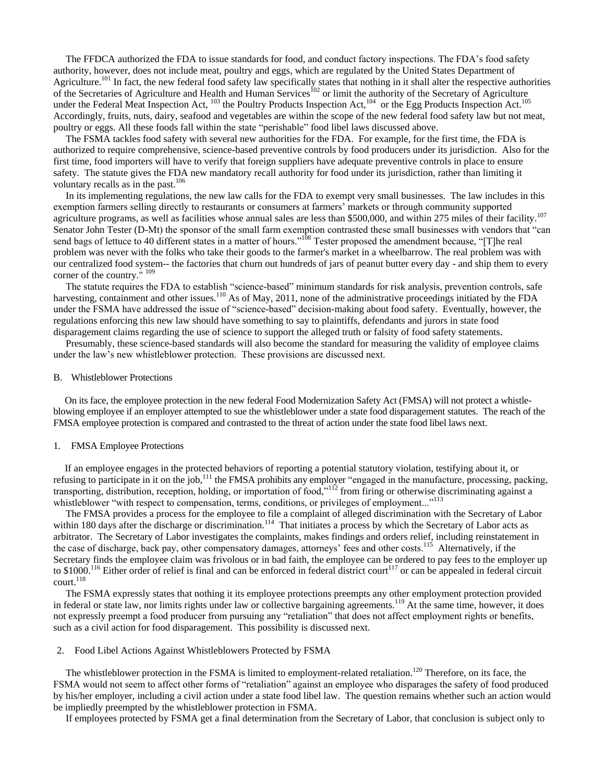The FFDCA authorized the FDA to issue standards for food, and conduct factory inspections. The FDA's food safety authority, however, does not include meat, poultry and eggs, which are regulated by the United States Department of Agriculture.<sup>101</sup> In fact, the new federal food safety law specifically states that nothing in it shall alter the respective authorities of the Secretaries of Agriculture and Health and Human Services<sup>102</sup> or limit the authority of the Secretary of Agriculture under the Federal Meat Inspection Act,  $^{103}$  the Poultry Products Inspection Act,  $^{104}$  or the Egg Products Inspection Act.<sup>105</sup> Accordingly, fruits, nuts, dairy, seafood and vegetables are within the scope of the new federal food safety law but not meat, poultry or eggs. All these foods fall within the state "perishable" food libel laws discussed above.

 The FSMA tackles food safety with several new authorities for the FDA. For example, for the first time, the FDA is authorized to require comprehensive, science-based preventive controls by food producers under its jurisdiction. Also for the first time, food importers will have to verify that foreign suppliers have adequate preventive controls in place to ensure safety. The statute gives the FDA new mandatory recall authority for food under its jurisdiction, rather than limiting it voluntary recalls as in the past. $106$ 

 In its implementing regulations, the new law calls for the FDA to exempt very small businesses. The law includes in this exemption farmers selling directly to restaurants or consumers at farmers' markets or through community supported agriculture programs, as well as facilities whose annual sales are less than \$500,000, and within 275 miles of their facility.<sup>107</sup> Senator John Tester (D-Mt) the sponsor of the small farm exemption contrasted these small businesses with vendors that "can send bags of lettuce to 40 different states in a matter of hours."<sup>108</sup> Tester proposed the amendment because, "[T]he real problem was never with the folks who take their goods to the farmer's market in a wheelbarrow. The real problem was with our centralized food system-- the factories that churn out hundreds of jars of peanut butter every day - and ship them to every corner of the country." <sup>109</sup>

The statute requires the FDA to establish "science-based" minimum standards for risk analysis, prevention controls, safe harvesting, containment and other issues.<sup>110</sup> As of May, 2011, none of the administrative proceedings initiated by the FDA under the FSMA have addressed the issue of "science-based" decision-making about food safety. Eventually, however, the regulations enforcing this new law should have something to say to plaintiffs, defendants and jurors in state food disparagement claims regarding the use of science to support the alleged truth or falsity of food safety statements.

 Presumably, these science-based standards will also become the standard for measuring the validity of employee claims under the law's new whistleblower protection. These provisions are discussed next.

#### B. Whistleblower Protections

 On its face, the employee protection in the new federal Food Modernization Safety Act (FMSA) will not protect a whistleblowing employee if an employer attempted to sue the whistleblower under a state food disparagement statutes. The reach of the FMSA employee protection is compared and contrasted to the threat of action under the state food libel laws next.

## 1. FMSA Employee Protections

 If an employee engages in the protected behaviors of reporting a potential statutory violation, testifying about it, or refusing to participate in it on the job,<sup>111</sup> the FMSA prohibits any employer "engaged in the manufacture, processing, packing, transporting, distribution, reception, holding, or importation of food,"<sup>112</sup> from firing or otherwise discriminating against a whistleblower "with respect to compensation, terms, conditions, or privileges of employment..."<sup>113</sup>

 The FMSA provides a process for the employee to file a complaint of alleged discrimination with the Secretary of Labor within 180 days after the discharge or discrimination.<sup>114</sup> That initiates a process by which the Secretary of Labor acts as arbitrator. The Secretary of Labor investigates the complaints, makes findings and orders relief, including reinstatement in the case of discharge, back pay, other compensatory damages, attorneys' fees and other costs.<sup>115</sup> Alternatively, if the Secretary finds the employee claim was frivolous or in bad faith, the employee can be ordered to pay fees to the employer up to  $$1000$ .<sup>116</sup> Either order of relief is final and can be enforced in federal district court<sup>117</sup> or can be appealed in federal circuit  $\text{court.}^{118}$ 

 The FSMA expressly states that nothing it its employee protections preempts any other employment protection provided in federal or state law, nor limits rights under law or collective bargaining agreements.<sup>119</sup> At the same time, however, it does not expressly preempt a food producer from pursuing any "retaliation" that does not affect employment rights or benefits, such as a civil action for food disparagement. This possibility is discussed next.

# 2. Food Libel Actions Against Whistleblowers Protected by FSMA

The whistleblower protection in the FSMA is limited to employment-related retaliation.<sup>120</sup> Therefore, on its face, the FSMA would not seem to affect other forms of "retaliation" against an employee who disparages the safety of food produced by his/her employer, including a civil action under a state food libel law. The question remains whether such an action would be impliedly preempted by the whistleblower protection in FSMA.

If employees protected by FSMA get a final determination from the Secretary of Labor, that conclusion is subject only to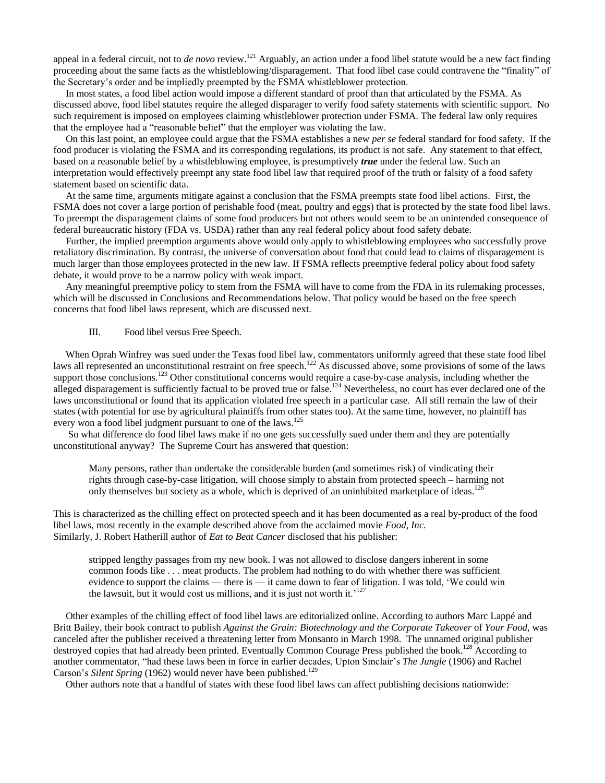appeal in a federal circuit, not to *de novo* review.<sup>121</sup> Arguably, an action under a food libel statute would be a new fact finding proceeding about the same facts as the whistleblowing/disparagement. That food libel case could contravene the "finality" of the Secretary's order and be impliedly preempted by the FSMA whistleblower protection.

 In most states, a food libel action would impose a different standard of proof than that articulated by the FSMA. As discussed above, food libel statutes require the alleged disparager to verify food safety statements with scientific support. No such requirement is imposed on employees claiming whistleblower protection under FSMA. The federal law only requires that the employee had a "reasonable belief" that the employer was violating the law.

 On this last point, an employee could argue that the FSMA establishes a new *per se* federal standard for food safety. If the food producer is violating the FSMA and its corresponding regulations, its product is not safe. Any statement to that effect, based on a reasonable belief by a whistleblowing employee, is presumptively *true* under the federal law. Such an interpretation would effectively preempt any state food libel law that required proof of the truth or falsity of a food safety statement based on scientific data.

 At the same time, arguments mitigate against a conclusion that the FSMA preempts state food libel actions. First, the FSMA does not cover a large portion of perishable food (meat, poultry and eggs) that is protected by the state food libel laws. To preempt the disparagement claims of some food producers but not others would seem to be an unintended consequence of federal bureaucratic history (FDA vs. USDA) rather than any real federal policy about food safety debate.

 Further, the implied preemption arguments above would only apply to whistleblowing employees who successfully prove retaliatory discrimination. By contrast, the universe of conversation about food that could lead to claims of disparagement is much larger than those employees protected in the new law. If FSMA reflects preemptive federal policy about food safety debate, it would prove to be a narrow policy with weak impact.

 Any meaningful preemptive policy to stem from the FSMA will have to come from the FDA in its rulemaking processes, which will be discussed in Conclusions and Recommendations below. That policy would be based on the free speech concerns that food libel laws represent, which are discussed next.

# III. Food libel versus Free Speech.

 When Oprah Winfrey was sued under the Texas food libel law, commentators uniformly agreed that these state food libel laws all represented an unconstitutional restraint on free speech.<sup>122</sup> As discussed above, some provisions of some of the laws support those conclusions.<sup>123</sup> Other constitutional concerns would require a case-by-case analysis, including whether the alleged disparagement is sufficiently factual to be proved true or false.<sup>124</sup> Nevertheless, no court has ever declared one of the laws unconstitutional or found that its application violated free speech in a particular case. All still remain the law of their states (with potential for use by agricultural plaintiffs from other states too). At the same time, however, no plaintiff has every won a food libel judgment pursuant to one of the laws.<sup>125</sup>

 So what difference do food libel laws make if no one gets successfully sued under them and they are potentially unconstitutional anyway? The Supreme Court has answered that question:

Many persons, rather than undertake the considerable burden (and sometimes risk) of vindicating their rights through case-by-case litigation, will choose simply to abstain from protected speech – harming not only themselves but society as a whole, which is deprived of an uninhibited marketplace of ideas.<sup>126</sup>

This is characterized as the chilling effect on protected speech and it has been documented as a real by-product of the food libel laws, most recently in the example described above from the acclaimed movie *Food, Inc.*  Similarly, J. Robert Hatherill author of *Eat to Beat Cancer* disclosed that his publisher:

stripped lengthy passages from my new book. I was not allowed to disclose dangers inherent in some common foods like . . . meat products. The problem had nothing to do with whether there was sufficient evidence to support the claims — there is — it came down to fear of litigation. I was told, 'We could win the lawsuit, but it would cost us millions, and it is just not worth it.<sup>'127</sup>

 Other examples of the chilling effect of food libel laws are editorialized online. According to authors Marc Lappé and Britt Bailey, their book contract to publish *Against the Grain: Biotechnology and the Corporate Takeover* of *Your Food*, was canceled after the publisher received a threatening letter from Monsanto in March 1998. The unnamed original publisher destroyed copies that had already been printed. Eventually Common Courage Press published the book.<sup>128</sup> According to another commentator, "had these laws been in force in earlier decades, Upton Sinclair's *The Jungle* (1906) and Rachel Carson's Silent Spring (1962) would never have been published.<sup>129</sup>

Other authors note that a handful of states with these food libel laws can affect publishing decisions nationwide: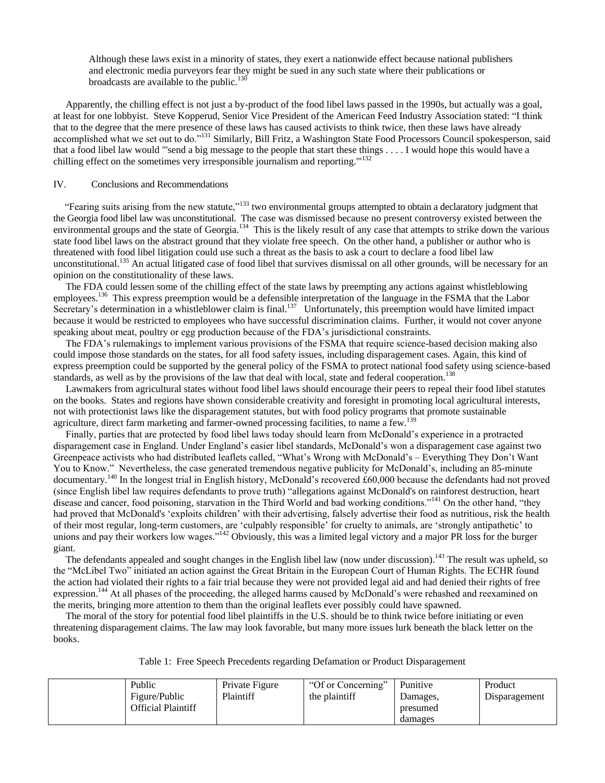Although these laws exist in a minority of states, they exert a nationwide effect because national publishers and electronic media purveyors fear they might be sued in any such state where their publications or broadcasts are available to the public. $130$ 

 Apparently, the chilling effect is not just a by-product of the food libel laws passed in the 1990s, but actually was a goal, at least for one lobbyist. Steve Kopperud, Senior Vice President of the American Feed Industry Association stated: "I think that to the degree that the mere presence of these laws has caused activists to think twice, then these laws have already accomplished what we set out to do."<sup>131</sup> Similarly, Bill Fritz, a Washington State Food Processors Council spokesperson, said that a food libel law would "'send a big message to the people that start these things . . . . I would hope this would have a chilling effect on the sometimes very irresponsible journalism and reporting.'"<sup>132</sup>

# IV. Conclusions and Recommendations

"Fearing suits arising from the new statute,"<sup>133</sup> two environmental groups attempted to obtain a declaratory judgment that the Georgia food libel law was unconstitutional. The case was dismissed because no present controversy existed between the environmental groups and the state of Georgia.<sup>134</sup> This is the likely result of any case that attempts to strike down the various state food libel laws on the abstract ground that they violate free speech. On the other hand, a publisher or author who is threatened with food libel litigation could use such a threat as the basis to ask a court to declare a food libel law unconstitutional.<sup>135</sup> An actual litigated case of food libel that survives dismissal on all other grounds, will be necessary for an opinion on the constitutionality of these laws.

 The FDA could lessen some of the chilling effect of the state laws by preempting any actions against whistleblowing employees.<sup>136</sup> This express preemption would be a defensible interpretation of the language in the FSMA that the Labor Secretary's determination in a whistleblower claim is final.<sup>137</sup> Unfortunately, this preemption would have limited impact because it would be restricted to employees who have successful discrimination claims. Further, it would not cover anyone speaking about meat, poultry or egg production because of the FDA's jurisdictional constraints.

 The FDA's rulemakings to implement various provisions of the FSMA that require science-based decision making also could impose those standards on the states, for all food safety issues, including disparagement cases. Again, this kind of express preemption could be supported by the general policy of the FSMA to protect national food safety using science-based standards, as well as by the provisions of the law that deal with local, state and federal cooperation.<sup>138</sup>

 Lawmakers from agricultural states without food libel laws should encourage their peers to repeal their food libel statutes on the books. States and regions have shown considerable creativity and foresight in promoting local agricultural interests, not with protectionist laws like the disparagement statutes, but with food policy programs that promote sustainable agriculture, direct farm marketing and farmer-owned processing facilities, to name a few.<sup>139</sup>

 Finally, parties that are protected by food libel laws today should learn from McDonald's experience in a protracted disparagement case in England. Under England's easier libel standards, McDonald's won a disparagement case against two Greenpeace activists who had distributed leaflets called, "What's Wrong with McDonald's – Everything They Don't Want You to Know." Nevertheless, the case generated tremendous negative publicity for McDonald's, including an 85-minute documentary.<sup>140</sup> In the longest trial in English history, McDonald's recovered £60,000 because the defendants had not proved (since English libel law requires defendants to prove truth) "allegations against McDonald's on rainforest destruction, heart disease and cancer, food poisoning, starvation in the Third World and bad working conditions."<sup>141</sup> On the other hand, "they had proved that McDonald's 'exploits children' with their advertising, falsely advertise their food as nutritious, risk the health of their most regular, long-term customers, are 'culpably responsible' for cruelty to animals, are 'strongly antipathetic' to unions and pay their workers low wages.<sup> $142$ </sup> Obviously, this was a limited legal victory and a major PR loss for the burger giant.

The defendants appealed and sought changes in the English libel law (now under discussion).<sup>143</sup> The result was upheld, so the "McLibel Two" initiated an action against the Great Britain in the European Court of Human Rights. The ECHR found the action had violated their rights to a fair trial because they were not provided legal aid and had denied their rights of free expression.<sup>144</sup> At all phases of the proceeding, the alleged harms caused by McDonald's were rehashed and reexamined on the merits, bringing more attention to them than the original leaflets ever possibly could have spawned.

 The moral of the story for potential food libel plaintiffs in the U.S. should be to think twice before initiating or even threatening disparagement claims. The law may look favorable, but many more issues lurk beneath the black letter on the books.

| Table 1: Free Speech Precedents regarding Defamation or Product Disparagement |
|-------------------------------------------------------------------------------|
|-------------------------------------------------------------------------------|

| Public             | Private Figure | "Of or Concerning" | Punitive            | Product       |
|--------------------|----------------|--------------------|---------------------|---------------|
| Figure/Public      | Plaintiff      | the plaintiff      | Damages,            | Disparagement |
| Official Plaintiff |                |                    | presumed<br>damages |               |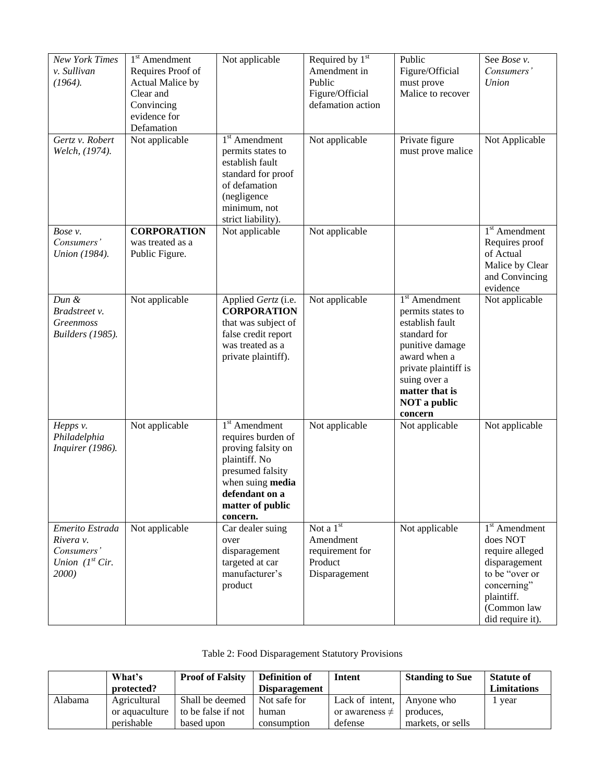| <b>New York Times</b><br>v. Sullivan<br>$(1964)$ .<br>Gertz v. Robert<br>Welch, (1974). | $1st$ Amendment<br>Requires Proof of<br>Actual Malice by<br>Clear and<br>Convincing<br>evidence for<br>Defamation<br>Not applicable | Not applicable<br>$1st$ Amendment<br>permits states to<br>establish fault<br>standard for proof<br>of defamation<br>(negligence<br>minimum, not<br>strict liability).  | Required by $1st$<br>Amendment in<br>Public<br>Figure/Official<br>defamation action<br>Not applicable | Public<br>Figure/Official<br>must prove<br>Malice to recover<br>Private figure<br>must prove malice                                                                                                    | See Bose v.<br>Consumers'<br>Union<br>Not Applicable                                                                                              |
|-----------------------------------------------------------------------------------------|-------------------------------------------------------------------------------------------------------------------------------------|------------------------------------------------------------------------------------------------------------------------------------------------------------------------|-------------------------------------------------------------------------------------------------------|--------------------------------------------------------------------------------------------------------------------------------------------------------------------------------------------------------|---------------------------------------------------------------------------------------------------------------------------------------------------|
| Bose v.<br>Consumers'<br>Union (1984).                                                  | <b>CORPORATION</b><br>was treated as a<br>Public Figure.                                                                            | Not applicable                                                                                                                                                         | Not applicable                                                                                        |                                                                                                                                                                                                        | $1st$ Amendment<br>Requires proof<br>of Actual<br>Malice by Clear<br>and Convincing<br>evidence                                                   |
| Dun &<br>Bradstreet v.<br>Greenmoss<br><b>Builders</b> (1985).                          | Not applicable                                                                                                                      | Applied Gertz (i.e.<br><b>CORPORATION</b><br>that was subject of<br>false credit report<br>was treated as a<br>private plaintiff).                                     | Not applicable                                                                                        | $1st$ Amendment<br>permits states to<br>establish fault<br>standard for<br>punitive damage<br>award when a<br>private plaintiff is<br>suing over a<br>matter that is<br><b>NOT</b> a public<br>concern | Not applicable                                                                                                                                    |
| Hepps v.<br>Philadelphia<br>Inquirer (1986).                                            | Not applicable                                                                                                                      | $1st$ Amendment<br>requires burden of<br>proving falsity on<br>plaintiff. No<br>presumed falsity<br>when suing media<br>defendant on a<br>matter of public<br>concern. | Not applicable                                                                                        | Not applicable                                                                                                                                                                                         | Not applicable                                                                                                                                    |
| Emerito Estrada<br>Rivera v.<br>Consumers'<br>Union $(Ist Cir.$<br>2000)                | Not applicable                                                                                                                      | Car dealer suing<br>over<br>disparagement<br>targeted at car<br>manufacturer's<br>product                                                                              | Not a $1st$<br>Amendment<br>requirement for<br>Product<br>Disparagement                               | Not applicable                                                                                                                                                                                         | $1st$ Amendment<br>does NOT<br>require alleged<br>disparagement<br>to be "over or<br>concerning"<br>plaintiff.<br>(Common law<br>did require it). |

|  | Table 2: Food Disparagement Statutory Provisions |  |  |
|--|--------------------------------------------------|--|--|
|--|--------------------------------------------------|--|--|

|         | What's         | <b>Proof of Falsity</b> | <b>Definition of</b> | <b>Intent</b>       | <b>Standing to Sue</b> | <b>Statute of</b>  |
|---------|----------------|-------------------------|----------------------|---------------------|------------------------|--------------------|
|         | protected?     |                         | <b>Disparagement</b> |                     |                        | <b>Limitations</b> |
| Alabama | Agricultural   | Shall be deemed         | Not safe for         | Lack of intent.     | Anvone who             | year               |
|         | or aquaculture | to be false if not      | human                | or awareness $\neq$ | produces,              |                    |
|         | perishable     | based upon              | consumption          | defense             | markets, or sells      |                    |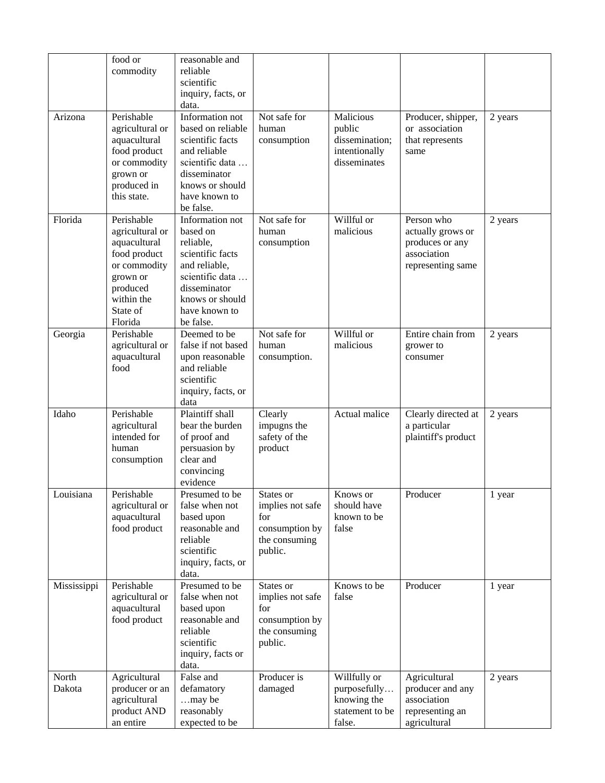|                 | food or<br>commodity                                                                                                                       | reasonable and<br>reliable<br>scientific<br>inquiry, facts, or<br>data.                                                                                           |                                                                                    |                                                                          |                                                                                        |         |
|-----------------|--------------------------------------------------------------------------------------------------------------------------------------------|-------------------------------------------------------------------------------------------------------------------------------------------------------------------|------------------------------------------------------------------------------------|--------------------------------------------------------------------------|----------------------------------------------------------------------------------------|---------|
| Arizona         | Perishable<br>agricultural or<br>aquacultural<br>food product<br>or commodity<br>grown or<br>produced in<br>this state.                    | Information not<br>based on reliable<br>scientific facts<br>and reliable<br>scientific data<br>disseminator<br>knows or should<br>have known to<br>be false.      | Not safe for<br>human<br>consumption                                               | Malicious<br>public<br>dissemination;<br>intentionally<br>disseminates   | Producer, shipper,<br>or association<br>that represents<br>same                        | 2 years |
| Florida         | Perishable<br>agricultural or<br>aquacultural<br>food product<br>or commodity<br>grown or<br>produced<br>within the<br>State of<br>Florida | Information not<br>based on<br>reliable,<br>scientific facts<br>and reliable,<br>scientific data<br>disseminator<br>knows or should<br>have known to<br>be false. | Not safe for<br>human<br>consumption                                               | Willful or<br>malicious                                                  | Person who<br>actually grows or<br>produces or any<br>association<br>representing same | 2 years |
| Georgia         | Perishable<br>agricultural or<br>aquacultural<br>food                                                                                      | Deemed to be<br>false if not based<br>upon reasonable<br>and reliable<br>scientific<br>inquiry, facts, or<br>data                                                 | Not safe for<br>human<br>consumption.                                              | Willful or<br>malicious                                                  | Entire chain from<br>grower to<br>consumer                                             | 2 years |
| Idaho           | Perishable<br>agricultural<br>intended for<br>human<br>consumption                                                                         | Plaintiff shall<br>bear the burden<br>of proof and<br>persuasion by<br>clear and<br>convincing<br>evidence                                                        | Clearly<br>impugns the<br>safety of the<br>product                                 | Actual malice                                                            | Clearly directed at<br>a particular<br>plaintiff's product                             | 2 years |
| Louisiana       | Perishable<br>agricultural or<br>aquacultural<br>food product                                                                              | Presumed to be<br>false when not<br>based upon<br>reasonable and<br>reliable<br>scientific<br>inquiry, facts, or<br>data.                                         | States or<br>implies not safe<br>for<br>consumption by<br>the consuming<br>public. | Knows or<br>should have<br>known to be<br>false                          | Producer                                                                               | 1 year  |
| Mississippi     | Perishable<br>agricultural or<br>aquacultural<br>food product                                                                              | Presumed to be<br>false when not<br>based upon<br>reasonable and<br>reliable<br>scientific<br>inquiry, facts or<br>data.                                          | States or<br>implies not safe<br>for<br>consumption by<br>the consuming<br>public. | Knows to be<br>false                                                     | Producer                                                                               | 1 year  |
| North<br>Dakota | Agricultural<br>producer or an<br>agricultural<br>product AND<br>an entire                                                                 | False and<br>defamatory<br>may be<br>reasonably<br>expected to be                                                                                                 | Producer is<br>damaged                                                             | Willfully or<br>purposefully<br>knowing the<br>statement to be<br>false. | Agricultural<br>producer and any<br>association<br>representing an<br>agricultural     | 2 years |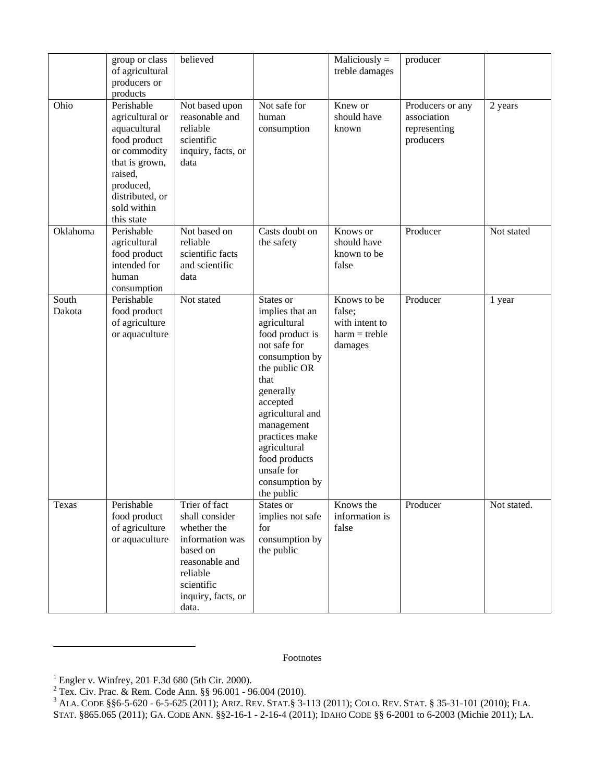|                 | group or class<br>of agricultural<br>producers or<br>products                                                                                                           | believed                                                                                                                                                 |                                                                                                                                                                                                                                                                                        | $Maliciously =$<br>treble damages                                     | producer                                                     |             |
|-----------------|-------------------------------------------------------------------------------------------------------------------------------------------------------------------------|----------------------------------------------------------------------------------------------------------------------------------------------------------|----------------------------------------------------------------------------------------------------------------------------------------------------------------------------------------------------------------------------------------------------------------------------------------|-----------------------------------------------------------------------|--------------------------------------------------------------|-------------|
| Ohio            | Perishable<br>agricultural or<br>aquacultural<br>food product<br>or commodity<br>that is grown,<br>raised,<br>produced,<br>distributed, or<br>sold within<br>this state | Not based upon<br>reasonable and<br>reliable<br>scientific<br>inquiry, facts, or<br>data                                                                 | Not safe for<br>human<br>consumption                                                                                                                                                                                                                                                   | Knew or<br>should have<br>known                                       | Producers or any<br>association<br>representing<br>producers | 2 years     |
| Oklahoma        | Perishable<br>agricultural<br>food product<br>intended for<br>human<br>consumption                                                                                      | Not based on<br>reliable<br>scientific facts<br>and scientific<br>data                                                                                   | Casts doubt on<br>the safety                                                                                                                                                                                                                                                           | Knows or<br>should have<br>known to be<br>false                       | Producer                                                     | Not stated  |
| South<br>Dakota | Perishable<br>food product<br>of agriculture<br>or aquaculture                                                                                                          | Not stated                                                                                                                                               | States or<br>implies that an<br>agricultural<br>food product is<br>not safe for<br>consumption by<br>the public OR<br>that<br>generally<br>accepted<br>agricultural and<br>management<br>practices make<br>agricultural<br>food products<br>unsafe for<br>consumption by<br>the public | Knows to be<br>false;<br>with intent to<br>$harm = treble$<br>damages | Producer                                                     | 1 year      |
| Texas           | Perishable<br>food product<br>of agriculture<br>or aquaculture                                                                                                          | Trier of fact<br>shall consider<br>whether the<br>information was<br>based on<br>reasonable and<br>reliable<br>scientific<br>inquiry, facts, or<br>data. | States or<br>implies not safe<br>for<br>consumption by<br>the public                                                                                                                                                                                                                   | Knows the<br>information is<br>false                                  | Producer                                                     | Not stated. |

Footnotes

 $\overline{\phantom{a}}$ 

 $1$  Engler v. Winfrey, 201 F.3d 680 (5th Cir. 2000).

<sup>&</sup>lt;sup>2</sup> Tex. Civ. Prac. & Rem. Code Ann.  $\S$ § 96.001 - 96.004 (2010).

 $^3$  Ala. Code §§6-5-620 - 6-5-625 (2011); Ariz. Rev. Stat.§ 3-113 (2011); Colo. Rev. Stat. § 35-31-101 (2010); Fla. STAT. §865.065 (2011); GA. CODE ANN. §§2-16-1 - 2-16-4 (2011); IDAHO CODE §§ 6-2001 to 6-2003 (Michie 2011); LA.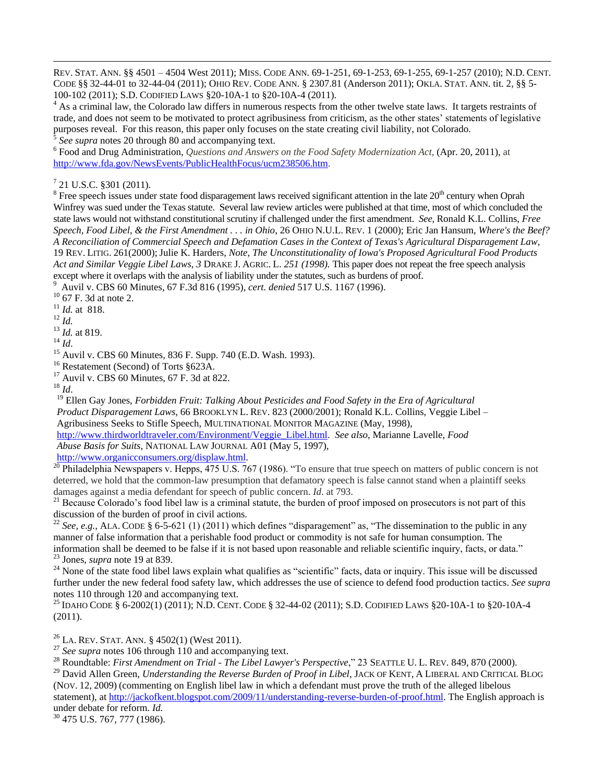REV. STAT. ANN. §§ 4501 – 4504 West 2011); MISS. CODE ANN. 69-1-251, 69-1-253, 69-1-255, 69-1-257 (2010); N.D. CENT. CODE §§ 32-44-01 to 32-44-04 (2011); OHIO REV. CODE ANN. § 2307.81 (Anderson 2011); OKLA. STAT. ANN. tit. 2, §§ 5- 100-102 (2011); S.D. CODIFIED LAWS §20-10A-1 to §20-10A-4 (2011).

<sup>4</sup> As a criminal law, the Colorado law differs in numerous respects from the other twelve state laws. It targets restraints of trade, and does not seem to be motivated to protect agribusiness from criticism, as the other states' statements of legislative purposes reveal. For this reason, this paper only focuses on the state creating civil liability, not Colorado. 5

*See supra* notes 20 through 80 and accompanying text.

6 Food and Drug Administration, *Questions and Answers on the Food Safety Modernization Act*, (Apr. 20, 2011), at [http://www.fda.gov/NewsEvents/PublicHealthFocus/ucm238506.htm.](http://www.fda.gov/NewsEvents/PublicHealthFocus/ucm238506.htm)

 $7$  21 U.S.C. §301 (2011).

 $8$  Free speech issues under state food disparagement laws received significant attention in the late  $20<sup>th</sup>$  century when Oprah Winfrey was sued under the Texas statute. Several law review articles were published at that time, most of which concluded the state laws would not withstand constitutional scrutiny if challenged under the first amendment. *See,* Ronald K.L. Collins, *Free Speech, Food Libel, & the First Amendment . . . in Ohio*, 26 OHIO N.U.L. REV. 1 (2000); Eric Jan Hansum, *Where's the Beef? A Reconciliation of Commercial Speech and Defamation Cases in the Context of Texas's Agricultural Disparagement Law*, 19 REV. LITIG. 261(2000); Julie K. Harders, *Note, The Unconstitutionality of Iowa's Proposed Agricultural Food Products Act and Similar Veggie Libel Laws, 3* DRAKE J. AGRIC. L. *251 (1998).* This paper does not repeat the free speech analysis except where it overlaps with the analysis of liability under the statutes, such as burdens of proof. 9

Auvil v. CBS 60 Minutes, 67 F.3d 816 (1995), *cert. denied* 517 U.S. 1167 (1996).

 $10$  67 F. 3d at note 2.

<sup>11</sup> *Id.* at 818.

<sup>12</sup> *Id.*

 $\overline{a}$ 

<sup>13</sup> *Id.* at 819.

<sup>14</sup> *Id*.

<sup>15</sup> Auvil v. CBS 60 Minutes, 836 F. Supp. 740 (E.D. Wash. 1993).

<sup>16</sup> Restatement (Second) of Torts §623A.

 $17$  Auvil v. CBS 60 Minutes, 67 F. 3d at 822.

<sup>18</sup> *Id*.

<sup>19</sup> Ellen Gay Jones, *Forbidden Fruit: Talking About Pesticides and Food Safety in the Era of Agricultural Product Disparagement Laws*, 66 BROOKLYN L. REV. 823 (2000/2001); Ronald K.L. Collins, Veggie Libel – Agribusiness Seeks to Stifle Speech, MULTINATIONAL MONITOR MAGAZINE (May, 1998),

[http://www.thirdworldtraveler.com/Environment/Veggie\\_Libel.html.](http://www.thirdworldtraveler.com/Environment/Veggie_Libel.html) *See also*, Marianne Lavelle, *Food Abuse Basis for Suits,* NATIONAL LAW JOURNAL A01 (May 5, 1997),

[http://www.organicconsumers.org/displaw.html.](http://www.organicconsumers.org/displaw.html)

 $20$  Philadelphia Newspapers v. Hepps, 475 U.S. 767 (1986). "To ensure that true speech on matters of public concern is not deterred, we hold that the common-law presumption that defamatory speech is false cannot stand when a plaintiff seeks damages against a media defendant for speech of public concern. *Id*. at 793.

 $21$  Because Colorado's food libel law is a criminal statute, the burden of proof imposed on prosecutors is not part of this discussion of the burden of proof in civil actions.

<sup>22</sup> *See, e.g.,* ALA. CODE § 6-5-621 (1) (2011) which defines "disparagement" as, "The dissemination to the public in any manner of false information that a perishable food product or commodity is not safe for human consumption. The information shall be deemed to be false if it is not based upon reasonable and reliable scientific inquiry, facts, or data." <sup>23</sup> Jones, *supra* note 19 at 839.

 $^{24}$  None of the state food libel laws explain what qualifies as "scientific" facts, data or inquiry. This issue will be discussed further under the new federal food safety law, which addresses the use of science to defend food production tactics. *See supra* notes 110 through 120 and accompanying text.

<sup>25</sup> IDAHO CODE § 6-2002(1) (2011); N.D. CENT. CODE § 32-44-02 (2011); S.D. CODIFIED LAWS §20-10A-1 to §20-10A-4 (2011).

 $^{26}$  LA. REV. STAT. ANN. § 4502(1) (West 2011).

<sup>27</sup> See supra notes 106 through 110 and accompanying text.

<sup>28</sup> Roundtable: *First Amendment on Trial - The Libel Lawyer's Perspective*," 23 SEATTLE U. L. REV. 849, 870 (2000).

<sup>29</sup> David Allen Green, *Understanding the Reverse Burden of Proof in Libel*, JACK OF KENT, A LIBERAL AND CRITICAL BLOG (NOV. 12, 2009) (commenting on English libel law in which a defendant must prove the truth of the alleged libelous statement), at [http://jackofkent.blogspot.com/2009/11/understanding-reverse-burden-of-proof.html.](http://jackofkent.blogspot.com/2009/11/understanding-reverse-burden-of-proof.html) The English approach is under debate for reform. *Id.*

<sup>30</sup> 475 U.S. 767, 777 (1986).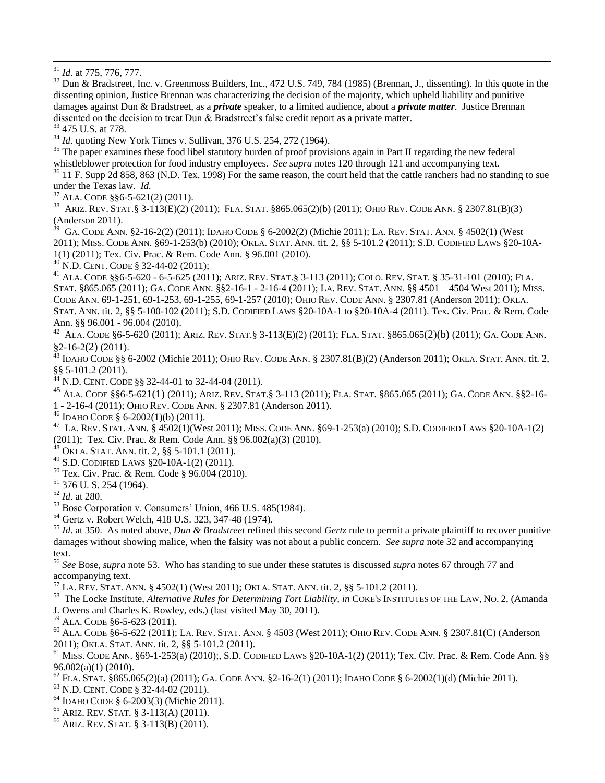<sup>31</sup> *Id*. at 775, 776, 777.

 $\overline{a}$ 

<sup>32</sup> Dun & Bradstreet, Inc. v. Greenmoss Builders, Inc., 472 U.S. 749, 784 (1985) (Brennan, J., dissenting). In this quote in the dissenting opinion, Justice Brennan was characterizing the decision of the majority, which upheld liability and punitive damages against Dun & Bradstreet, as a *private* speaker, to a limited audience, about a *private matter*. Justice Brennan dissented on the decision to treat Dun & Bradstreet's false credit report as a private matter.

<sup>33</sup> 475 U.S. at 778.

<sup>34</sup> *Id*. quoting New York Times v. Sullivan, 376 U.S. 254, 272 (1964).

 $35$  The paper examines these food libel statutory burden of proof provisions again in Part II regarding the new federal whistleblower protection for food industry employees. *See supra* notes 120 through 121 and accompanying text.

<sup>36</sup> 11 F. Supp 2d 858, 863 (N.D. Tex. 1998) For the same reason, the court held that the cattle ranchers had no standing to sue under the Texas law. *Id.*

 $37$  ALA. CODE §§6-5-621(2) (2011).

38 ARIZ. REV. STAT.§ 3-113(E)(2) (2011); FLA. STAT. §865.065(2)(b) (2011); OHIO REV. CODE ANN. § 2307.81(B)(3) (Anderson 2011).

<sup>39</sup> GA. CODE ANN. §2-16-2(2) (2011); IDAHO CODE § 6-2002(2) (Michie 2011); LA. REV. STAT. ANN. § 4502(1) (West 2011); MISS. CODE ANN. §69-1-253(b) (2010); OKLA. STAT. ANN. tit. 2, §§ 5-101.2 (2011); S.D. CODIFIED LAWS §20-10A-1(1) (2011); Tex. Civ. Prac. & Rem. Code Ann. § 96.001 (2010).

<sup>40</sup> N.D. CENT. CODE § 32-44-02 (2011);

<sup>41</sup> ALA. CODE §§6-5-620 - 6-5-625 (2011); ARIZ. REV. STAT.§ 3-113 (2011); COLO. REV. STAT. § 35-31-101 (2010); FLA. STAT. §865.065 (2011); GA. CODE ANN. §§2-16-1 - 2-16-4 (2011); LA. REV. STAT. ANN. §§ 4501 – 4504 West 2011); MISS. CODE ANN. 69-1-251, 69-1-253, 69-1-255, 69-1-257 (2010); OHIO REV. CODE ANN. § 2307.81 (Anderson 2011); OKLA. STAT. ANN. tit. 2, §§ 5-100-102 (2011); S.D. CODIFIED LAWS §20-10A-1 to §20-10A-4 (2011). Tex. Civ. Prac. & Rem. Code Ann. §§ 96.001 - 96.004 (2010).

<sup>42</sup> ALA. CODE §6-5-620 (2011); ARIZ. REV. STAT.§ 3-113(E)(2) (2011); FLA. STAT. §865.065(2)(b) (2011); GA. CODE ANN. §2-16-2(2) (2011).

 $^{43}$  IDAHO CODE §§ 6-2002 (Michie 2011); OHIO REV. CODE ANN. § 2307.81(B)(2) (Anderson 2011); OKLA. STAT. ANN. tit. 2, §§ 5-101.2 (2011).

<sup>44</sup> N.D. CENT. CODE §§ 32-44-01 to 32-44-04 (2011).

<sup>45</sup> ALA. CODE §§6-5-621(1) (2011); ARIZ. REV. STAT.§ 3-113 (2011); FLA. STAT. §865.065 (2011); GA. CODE ANN. §§2-16- 1 - 2-16-4 (2011); OHIO REV. CODE ANN. § 2307.81 (Anderson 2011).

 $46$  IDAHO CODE § 6-2002(1)(b) (2011).

 $^{47}$  La. Rev. Stat. Ann. § 4502(1)(West 2011); Miss. Code Ann. §69-1-253(a) (2010); S.D. Codified Laws §20-10A-1(2) (2011); Tex. Civ. Prac. & Rem. Code Ann. §§ 96.002(a)(3) (2010).

<sup>48</sup> OKLA. STAT. ANN. tit. 2, §§ 5-101.1 (2011).

<sup>49</sup> S.D. CODIFIED LAWS §20-10A-1(2) (2011).

<sup>50</sup> Tex. Civ. Prac. & Rem. Code § 96.004 (2010).

<sup>51</sup> 376 U. S. 254 (1964).

<sup>52</sup> *Id.* at 280.

 $53$  Bose Corporation v. Consumers' Union, 466 U.S. 485(1984).

<sup>54</sup> Gertz v. Robert Welch, 418 U.S. 323, 347-48 (1974).

<sup>55</sup> *Id*. at 350. As noted above, *Dun & Bradstreet* refined this second *Gertz* rule to permit a private plaintiff to recover punitive damages without showing malice, when the falsity was not about a public concern. *See supra* note 32 and accompanying text.

<sup>56</sup> *See* Bose, *supra* note 53. Who has standing to sue under these statutes is discussed *supra* notes 67 through 77 and accompanying text.

<sup>57</sup> LA. REV. STAT. ANN. § 4502(1) (West 2011); OKLA. STAT. ANN. tit. 2, §§ 5-101.2 (2011).

58 The Locke Institute, *Alternative Rules for Determining Tort Liability, in* COKE'S INSTITUTES OF THE LAW, NO. 2, (Amanda J. Owens and Charles K. Rowley, eds.) (last visited May 30, 2011).

<sup>59</sup> ALA. CODE §6-5-623 (2011).

 $^{60}$  ALA. CODE  $\S6$ -5-622 (2011); LA. REV. STAT. ANN.  $\S 4503$  (West 2011); OHIO REV. CODE ANN.  $\S 2307.81$ (C) (Anderson 2011); OKLA. STAT. ANN. tit. 2, §§ 5-101.2 (2011).

 $^{61}$  MISS. CODE ANN. §69-1-253(a) (2010);, S.D. CODIFIED LAWS §20-10A-1(2) (2011); Tex. Civ. Prac. & Rem. Code Ann. §§ 96.002(a)(1) (2010).

 $^{62}$  FLA. STAT. §865.065(2)(a) (2011); GA. CODE ANN. §2-16-2(1) (2011); IDAHO CODE § 6-2002(1)(d) (Michie 2011).

<sup>63</sup> N.D. CENT. CODE § 32-44-02 (2011).

<sup>64</sup> IDAHO CODE § 6-2003(3) (Michie 2011).

<sup>65</sup> ARIZ. REV. STAT. § 3-113(A) (2011).

<sup>66</sup> ARIZ. REV. STAT. § 3-113(B) (2011).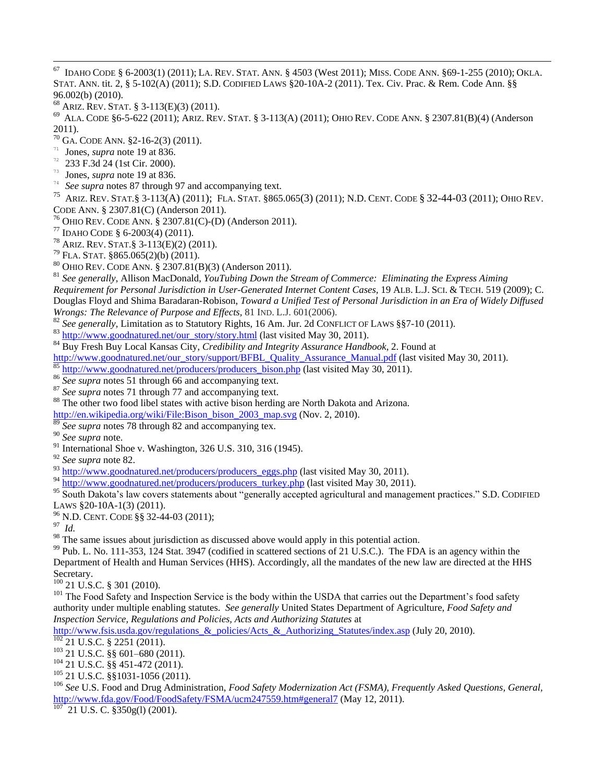- 67 <sup>67</sup> IDAHO CODE § 6-2003(1) (2011); LA. REV. STAT. ANN. § 4503 (West 2011); MISS. CODE ANN. §69-1-255 (2010); OKLA. STAT. ANN. tit. 2, § 5-102(A) (2011); S.D. CODIFIED LAWS §20-10A-2 (2011). Tex. Civ. Prac. & Rem. Code Ann. §§ 96.002(b) (2010).
- <sup>68</sup> ARIZ. REV. STAT. § 3-113(E)(3) (2011).
- <sup>69</sup> ALA. CODE §6-5-622 (2011); ARIZ. REV. STAT. § 3-113(A) (2011); OHIO REV. CODE ANN. § 2307.81(B)(4) (Anderson 2011).
- <sup>70</sup> GA. CODE ANN. §2-16-2(3) (2011).
- <sup>71</sup> Jones, *supra* note 19 at 836.
- $^{72}$  233 F.3d 24 (1st Cir. 2000).
- $73$  Jones, *supra* note 19 at 836.
- <sup>74</sup> *See supra* notes 87 through 97 and accompanying text.<br><sup>75</sup> APIZ PEV STAT 8.3 113(A) (2011): FLA STAT 8865
- <sup>75</sup> ARIZ. REV. STAT.§ 3-113(A) (2011); FLA. STAT. §865.065(3) (2011); N.D. CENT. CODE § 32-44-03 (2011); OHIO REV. CODE ANN. § 2307.81(C) (Anderson 2011).
- <sup>76</sup> OHIO REV. CODE ANN. § 2307.81(C)-(D) (Anderson 2011).
- <sup>77</sup> IDAHO CODE § 6-2003(4) (2011).
- <sup>78</sup> ARIZ. REV. STAT.§ 3-113(E)(2) (2011).
- $79$  FLA. STAT. §865.065(2)(b) (2011).
- <sup>80</sup> OHIO REV. CODE ANN. § 2307.81(B)(3) (Anderson 2011).

<sup>81</sup> *See generally*, Allison MacDonald, *YouTubing Down the Stream of Commerce: Eliminating the Express Aiming Requirement for Personal Jurisdiction in User-Generated Internet Content Cases,* 19 ALB. L.J. SCI. & TECH. 519 (2009); C. Douglas Floyd and Shima Baradaran-Robison, *Toward a Unified Test of Personal Jurisdiction in an Era of Widely Diffused Wrongs: The Relevance of Purpose and Effects,* 81 IND. L.J. 601(2006).

- <sup>82</sup> See generally, Limitation as to Statutory Rights, 16 Am. Jur. 2d CONFLICT OF LAWS §§7-10 (2011).
- $83$  [http://www.goodnatured.net/our\\_story/story.html](http://www.goodnatured.net/our_story/story.html) (last visited May 30, 2011).
- <sup>84</sup> Buy Fresh Buy Local Kansas City, *Credibility and Integrity Assurance Handbook*, 2. Found at
- [http://www.goodnatured.net/our\\_story/support/BFBL\\_Quality\\_Assurance\\_Manual.pdf](http://www.goodnatured.net/our_story/support/BFBL_Quality_Assurance_Manual.pdf) (last visited May 30, 2011).
- [http://www.goodnatured.net/producers/producers\\_bison.php](http://www.goodnatured.net/producers/producers_bison.php) (last visited May 30, 2011).
- <sup>86</sup> *See supra* notes 51 through 66 and accompanying text.
- See supra notes 71 through 77 and accompanying text.
- <sup>88</sup> The other two food libel states with active bison herding are North Dakota and Arizona.
- [http://en.wikipedia.org/wiki/File:Bison\\_bison\\_2003\\_map.svg](http://en.wikipedia.org/wiki/File:Bison_bison_2003_map.svg) (Nov. 2, 2010).
- <sup>89</sup> *See supra* notes 78 through 82 and accompanying tex.
- <sup>90</sup> *See supra* note.
- $91$  International Shoe v. Washington, 326 U.S. 310, 316 (1945).
- <sup>92</sup> *See supra* note 82.
- $^{93}$  [http://www.goodnatured.net/producers/producers\\_eggs.php](http://www.goodnatured.net/producers/producers_eggs.php) (last visited May 30, 2011).
- $^{94}$  [http://www.goodnatured.net/producers/producers\\_turkey.php](http://www.goodnatured.net/producers/producers_turkey.php) (last visited May 30, 2011).

95 South Dakota's law covers statements about "generally accepted agricultural and management practices." S.D. CODIFIED LAWS §20-10A-1(3) (2011).

- <sup>96</sup> N.D. CENT. CODE §§ 32-44-03 (2011);
- 97 *Id.*
- $98$  The same issues about jurisdiction as discussed above would apply in this potential action.

 $99$  Pub. L. No. 111-353, 124 Stat. 3947 (codified in scattered sections of 21 U.S.C.). The FDA is an agency within the Department of Health and Human Services (HHS). Accordingly, all the mandates of the new law are directed at the HHS Secretary.

 $100$  21 U.S.C. § 301 (2010).

<sup>101</sup> The Food Safety and Inspection Service is the body within the USDA that carries out the Department's food safety authority under multiple enabling statutes. *See generally* United States Department of Agriculture, *Food Safety and Inspection Service, Regulations and Policies, Acts and Authorizing Statutes* at

[http://www.fsis.usda.gov/regulations\\_&\\_policies/Acts\\_&\\_Authorizing\\_Statutes/index.asp](http://www.fsis.usda.gov/regulations_&_policies/Acts_&_Authorizing_Statutes/index.asp) (July 20, 2010).

 $\frac{102}{21}$  U.S.C. § 2251 (2011).

- <sup>103</sup> 21 U.S.C. §§ 601–680 (2011).
- <sup>104</sup> 21 U.S.C. §§ 451-472 (2011).
- $105$  21 U.S.C. §§1031-1056 (2011).

<sup>106</sup> *See* U.S. Food and Drug Administration, *Food Safety Modernization Act (FSMA), Frequently Asked Questions, General,* <http://www.fda.gov/Food/FoodSafety/FSMA/ucm247559.htm#general7> (May 12, 2011).

 $107$  21 U.S. C. §350g(l) (2001).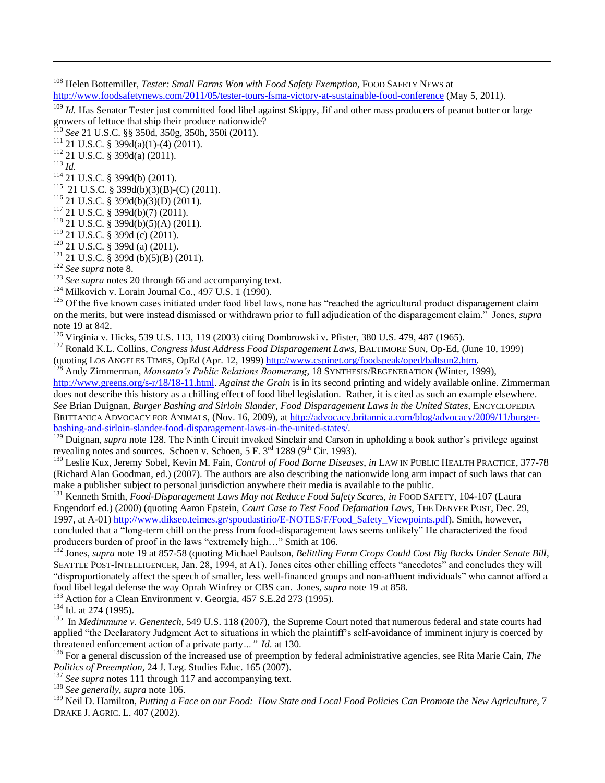<sup>108</sup> Helen Bottemiller, *Tester: Small Farms Won with Food Safety Exemption*, FOOD SAFETY NEWS at <http://www.foodsafetynews.com/2011/05/tester-tours-fsma-victory-at-sustainable-food-conference> (May 5, 2011).

<sup>109</sup> *Id.* Has Senator Tester just committed food libel against Skippy, Jif and other mass producers of peanut butter or large growers of lettuce that ship their produce nationwide?

<sup>110</sup> *See* 21 U.S.C. §§ 350d, 350g, 350h, 350i (2011).

 $111$  21 U.S.C. § 399d(a)(1)-(4) (2011).

<sup>112</sup> 21 U.S.C. § 399d(a) (2011).

<sup>113</sup> *Id.*

 $\overline{a}$ 

<sup>114</sup> 21 U.S.C. § 399d(b) (2011).

115 21 U.S.C. § 399d(b)(3)(B)-(C) (2011).

 $116$  21 U.S.C. § 399d(b)(3)(D) (2011).

<sup>117</sup> 21 U.S.C. § 399d(b)(7) (2011).

<sup>118</sup> 21 U.S.C. § 399d(b)(5)(A) (2011).

<sup>119</sup> 21 U.S.C. § 399d (c) (2011).

<sup>120</sup> 21 U.S.C. § 399d (a) (2011).

 $121$  21 U.S.C. § 399d (b)(5)(B) (2011).

<sup>122</sup> *See supra* note 8.

<sup>123</sup> *See supra* notes 20 through 66 and accompanying text.

 $124$  Milkovich v. Lorain Journal Co., 497 U.S. 1 [\(1990\)](http://en.wikipedia.org/wiki/1990).

 $125$  Of the five known cases initiated under food libel laws, none has "reached the agricultural product disparagement claim on the merits, but were instead dismissed or withdrawn prior to full adjudication of the disparagement claim.‖ Jones, *supra*  note 19 at 842.

<sup>126</sup> Virginia v. Hicks, 539 U.S. 113, 119 (2003) citing Dombrowski v. Pfister, 380 U.S. 479, 487 (1965).

<sup>127</sup> Ronald K.L. Collins, *Congress Must Address Food Disparagement Laws*, BALTIMORE SUN, Op-Ed, (June 10, 1999) (quoting LOS ANGELES TIMES, OpEd (Apr. 12, 1999) [http://www.cspinet.org/foodspeak/oped/baltsun2.htm.](http://www.cspinet.org/foodspeak/oped/baltsun2.htm)

<sup>128</sup> Andy Zimmerman, *Monsanto's Public Relations Boomerang*, 18 SYNTHESIS/REGENERATION (Winter, 1999), [http://www.greens.org/s-r/18/18-11.html.](http://www.greens.org/s-r/18/18-11.html) *Against the Grain* is in its second printing and widely available online. Zimmerman does not describe this history as a chilling effect of food libel legislation. Rather, it is cited as such an example elsewhere. *See* Brian Duignan, *Burger Bashing and Sirloin Slander, Food Disparagement Laws in the United States*, ENCYCLOPEDIA BRITTANICA ADVOCACY FOR ANIMALS, (Nov. 16, 2009), a[t http://advocacy.britannica.com/blog/advocacy/2009/11/burger](http://advocacy.britannica.com/blog/advocacy/2009/11/burger-bashing-and-sirloin-slander-food-disparagement-laws-in-the-united-states/)[bashing-and-sirloin-slander-food-disparagement-laws-in-the-united-states/.](http://advocacy.britannica.com/blog/advocacy/2009/11/burger-bashing-and-sirloin-slander-food-disparagement-laws-in-the-united-states/)

<sup>129</sup> Duignan, *supra* note 128. The Ninth Circuit invoked Sinclair and Carson in upholding a book author's privilege against revealing notes and sources. Schoen v. Schoen,  $5 F. 3<sup>rd</sup> 1289 (9<sup>th</sup> Cir. 1993)$ .

<sup>130</sup> Leslie Kux, Jeremy Sobel, Kevin M. Fain, *Control of Food Borne Diseases*, *in* LAW IN PUBLIC HEALTH PRACTICE, 377-78 (Richard Alan Goodman, ed.) (2007). The authors are also describing the nationwide long arm impact of such laws that can make a publisher subject to personal jurisdiction anywhere their media is available to the public.

<sup>131</sup> Kenneth Smith, *Food-Disparagement Laws May not Reduce Food Safety Scares, in* FOOD SAFETY, 104-107 (Laura Engendorf ed.) (2000) (quoting Aaron Epstein, *Court Case to Test Food Defamation Laws*, THE DENVER POST, Dec. 29, 1997, at A-01) [http://www.dikseo.teimes.gr/spoudastirio/E-NOTES/F/Food\\_Safety\\_Viewpoints.pdf\)](http://www.dikseo.teimes.gr/spoudastirio/E-NOTES/F/Food_Safety_Viewpoints.pdf). Smith, however, concluded that a "long-term chill on the press from food-disparagement laws seems unlikely" He characterized the food producers burden of proof in the laws "extremely high..." Smith at 106.

<sup>132</sup> Jones, *supra* note 19 at 857-58 (quoting Michael Paulson, *Belittling Farm Crops Could Cost Big Bucks Under Senate Bill*, SEATTLE POST-INTELLIGENCER, Jan. 28, 1994, at A1). Jones cites other chilling effects "anecdotes" and concludes they will "disproportionately affect the speech of smaller, less well-financed groups and non-affluent individuals" who cannot afford a food libel legal defense the way Oprah Winfrey or CBS can. Jones, *supra* note 19 at 858.

<sup>133</sup> Action for a Clean Environment v. Georgia, 457 S.E.2d 273 (1995).

<sup>134</sup> Id. at 274 (1995).

<sup>135</sup> In *Medimmune v. Genentech*, 549 U.S. 118 (2007), the Supreme Court noted that numerous federal and state courts had applied "the Declaratory Judgment Act to situations in which the plaintiff's self-avoidance of imminent injury is coerced by threatened enforcement action of a private party*…" Id*. at 130.

<sup>136</sup> For a general discussion of the increased use of preemption by federal administrative agencies, see Rita Marie Cain, *The Politics of Preemption,* 24 J. Leg. Studies Educ. 165 (2007).

<sup>137</sup> *See supra* notes 111 through 117 and accompanying text.

<sup>138</sup> *See generally*, *supra* note 106.

<sup>139</sup> Neil D. Hamilton, *Putting a Face on our Food: How State and Local Food Policies Can Promote the New Agriculture*, 7 DRAKE J. AGRIC. L. 407 (2002).